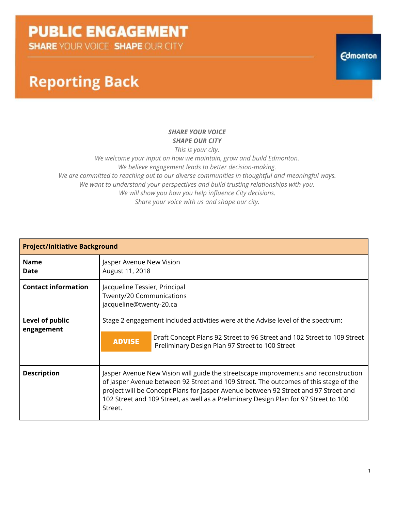**SHARE YOUR VOICE SHAPE OUR CITY** 

## **Reporting Back**

#### *SHARE YOUR VOICE SHAPE OUR CITY*

*This is your city. We welcome your input on how we maintain, grow and build Edmonton. We believe engagement leads to better decision-making. We are committed to reaching out to our diverse communities in thoughtful and meaningful ways. We want to understand your perspectives and build trusting relationships with you. We will show you how you help influence City decisions. Share your voice with us and shape our city.*

| <b>Project/Initiative Background</b> |                                                                                                                                                                                                                                                                                                                                                                       |                                                                                                                                                                                                                |  |
|--------------------------------------|-----------------------------------------------------------------------------------------------------------------------------------------------------------------------------------------------------------------------------------------------------------------------------------------------------------------------------------------------------------------------|----------------------------------------------------------------------------------------------------------------------------------------------------------------------------------------------------------------|--|
| <b>Name</b><br>Date                  | Jasper Avenue New Vision<br>August 11, 2018                                                                                                                                                                                                                                                                                                                           |                                                                                                                                                                                                                |  |
| <b>Contact information</b>           | Jacqueline Tessier, Principal<br>Twenty/20 Communications<br>jacqueline@twenty-20.ca                                                                                                                                                                                                                                                                                  |                                                                                                                                                                                                                |  |
| Level of public<br>engagement        | <b>ADVISE</b>                                                                                                                                                                                                                                                                                                                                                         | Stage 2 engagement included activities were at the Advise level of the spectrum:<br>Draft Concept Plans 92 Street to 96 Street and 102 Street to 109 Street<br>Preliminary Design Plan 97 Street to 100 Street |  |
| <b>Description</b>                   | Jasper Avenue New Vision will guide the streetscape improvements and reconstruction<br>of Jasper Avenue between 92 Street and 109 Street. The outcomes of this stage of the<br>project will be Concept Plans for Jasper Avenue between 92 Street and 97 Street and<br>102 Street and 109 Street, as well as a Preliminary Design Plan for 97 Street to 100<br>Street. |                                                                                                                                                                                                                |  |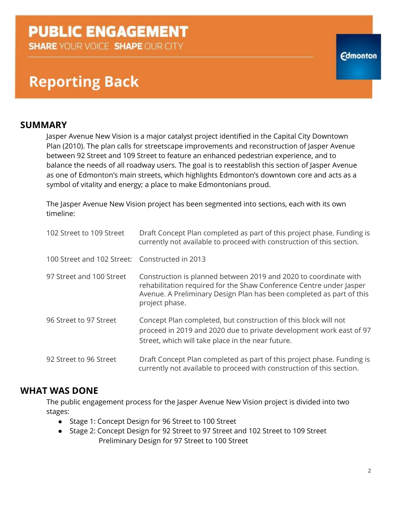**SHARE YOUR VOICE SHAPE OUR CITY** 

## **Reporting Back**

### **SUMMARY**

Jasper Avenue New Vision is a major catalyst project identified in the Capital City Downtown Plan (2010). The plan calls for streetscape improvements and reconstruction of Jasper Avenue between 92 Street and 109 Street to feature an enhanced pedestrian experience, and to balance the needs of all roadway users. The goal is to reestablish this section of Jasper Avenue as one of Edmonton's main streets, which highlights Edmonton's downtown core and acts as a symbol of vitality and energy; a place to make Edmontonians proud.

The Jasper Avenue New Vision project has been segmented into sections, each with its own timeline:

| 102 Street to 109 Street                       | Draft Concept Plan completed as part of this project phase. Funding is<br>currently not available to proceed with construction of this section.                                                                                   |
|------------------------------------------------|-----------------------------------------------------------------------------------------------------------------------------------------------------------------------------------------------------------------------------------|
| 100 Street and 102 Street: Constructed in 2013 |                                                                                                                                                                                                                                   |
| 97 Street and 100 Street                       | Construction is planned between 2019 and 2020 to coordinate with<br>rehabilitation required for the Shaw Conference Centre under Jasper<br>Avenue. A Preliminary Design Plan has been completed as part of this<br>project phase. |
| 96 Street to 97 Street                         | Concept Plan completed, but construction of this block will not<br>proceed in 2019 and 2020 due to private development work east of 97<br>Street, which will take place in the near future.                                       |
| 92 Street to 96 Street                         | Draft Concept Plan completed as part of this project phase. Funding is<br>currently not available to proceed with construction of this section.                                                                                   |

### **WHAT WAS DONE**

The public engagement process for the Jasper Avenue New Vision project is divided into two stages:

- Stage 1: Concept Design for 96 Street to 100 Street
- Stage 2: Concept Design for 92 Street to 97 Street and 102 Street to 109 Street Preliminary Design for 97 Street to 100 Street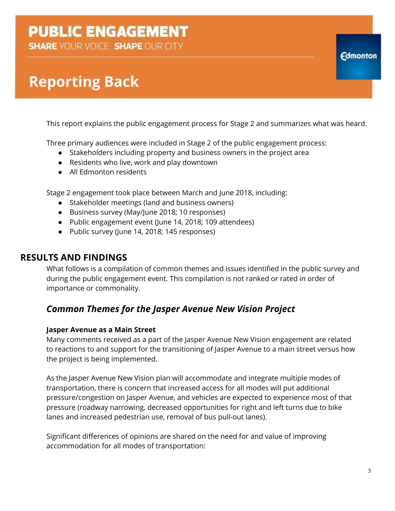**SHARE YOUR VOICE SHAPE OUR CITY** 

# **Reporting Back**

This report explains the public engagement process for Stage 2 and summarizes what was heard.

Three primary audiences were included in Stage 2 of the public engagement process:

- Stakeholders including property and business owners in the project area
- Residents who live, work and play downtown
- All Edmonton residents

Stage 2 engagement took place between March and June 2018, including:

- Stakeholder meetings (land and business owners)
- Business survey (May/June 2018; 10 responses)
- Public engagement event (June 14, 2018; 109 attendees)
- Public survey (June 14, 2018; 145 responses)

### **RESULTS AND FINDINGS**

What follows is a compilation of common themes and issues identified in the public survey and during the public engagement event. This compilation is not ranked or rated in order of importance or commonality.

### *Common Themes for the Jasper Avenue New Vision Project*

#### **Jasper Avenue as a Main Street**

Many comments received as a part of the Jasper Avenue New Vision engagement are related to reactions to and support for the transitioning of Jasper Avenue to a main street versus how the project is being implemented.

As the Jasper Avenue New Vision plan will accommodate and integrate multiple modes of transportation, there is concern that increased access for all modes will put additional pressure/congestion on Jasper Avenue, and vehicles are expected to experience most of that pressure (roadway narrowing, decreased opportunities for right and left turns due to bike lanes and increased pedestrian use, removal of bus pull-out lanes).

Significant differences of opinions are shared on the need for and value of improving accommodation for all modes of transportation: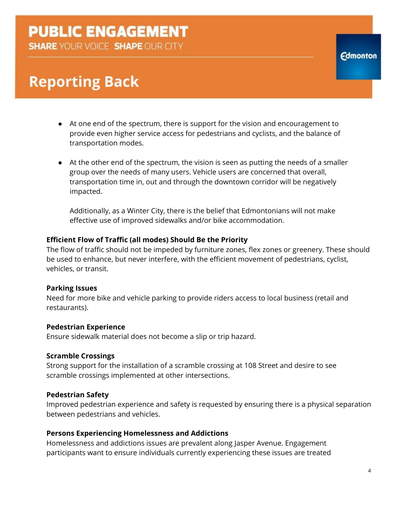**SHARE YOUR VOICE SHAPE OUR CITY** 

# **Reporting Back**

- At one end of the spectrum, there is support for the vision and encouragement to provide even higher service access for pedestrians and cyclists, and the balance of transportation modes.
- At the other end of the spectrum, the vision is seen as putting the needs of a smaller group over the needs of many users. Vehicle users are concerned that overall, transportation time in, out and through the downtown corridor will be negatively impacted.

Additionally, as a Winter City, there is the belief that Edmontonians will not make effective use of improved sidewalks and/or bike accommodation.

#### **Efficient Flow of Traffic (all modes) Should Be the Priority**

The flow of traffic should not be impeded by furniture zones, flex zones or greenery. These should be used to enhance, but never interfere, with the efficient movement of pedestrians, cyclist, vehicles, or transit.

#### **Parking Issues**

Need for more bike and vehicle parking to provide riders access to local business (retail and restaurants).

#### **Pedestrian Experience**

Ensure sidewalk material does not become a slip or trip hazard.

#### **Scramble Crossings**

Strong support for the installation of a scramble crossing at 108 Street and desire to see scramble crossings implemented at other intersections.

#### **Pedestrian Safety**

Improved pedestrian experience and safety is requested by ensuring there is a physical separation between pedestrians and vehicles.

#### **Persons Experiencing Homelessness and Addictions**

Homelessness and addictions issues are prevalent along Jasper Avenue. Engagement participants want to ensure individuals currently experiencing these issues are treated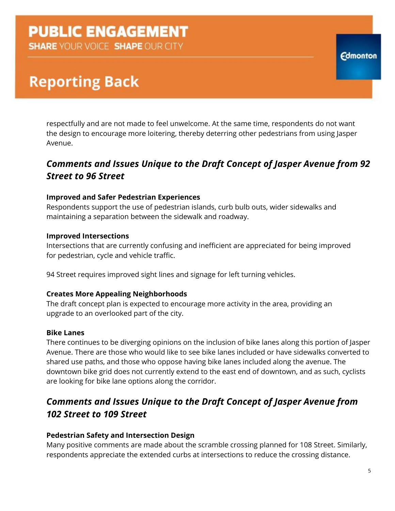**SHARE YOUR VOICE SHAPE OUR CITY** 

# **Reporting Back**

respectfully and are not made to feel unwelcome. At the same time, respondents do not want the design to encourage more loitering, thereby deterring other pedestrians from using Jasper Avenue.

### *Comments and Issues Unique to the Draft Concept of Jasper Avenue from 92 Street to 96 Street*

#### **Improved and Safer Pedestrian Experiences**

Respondents support the use of pedestrian islands, curb bulb outs, wider sidewalks and maintaining a separation between the sidewalk and roadway.

#### **Improved Intersections**

Intersections that are currently confusing and inefficient are appreciated for being improved for pedestrian, cycle and vehicle traffic.

94 Street requires improved sight lines and signage for left turning vehicles.

#### **Creates More Appealing Neighborhoods**

The draft concept plan is expected to encourage more activity in the area, providing an upgrade to an overlooked part of the city.

#### **Bike Lanes**

There continues to be diverging opinions on the inclusion of bike lanes along this portion of Jasper Avenue. There are those who would like to see bike lanes included or have sidewalks converted to shared use paths, and those who oppose having bike lanes included along the avenue. The downtown bike grid does not currently extend to the east end of downtown, and as such, cyclists are looking for bike lane options along the corridor.

### *Comments and Issues Unique to the Draft Concept of Jasper Avenue from 102 Street to 109 Street*

#### **Pedestrian Safety and Intersection Design**

Many positive comments are made about the scramble crossing planned for 108 Street. Similarly, respondents appreciate the extended curbs at intersections to reduce the crossing distance.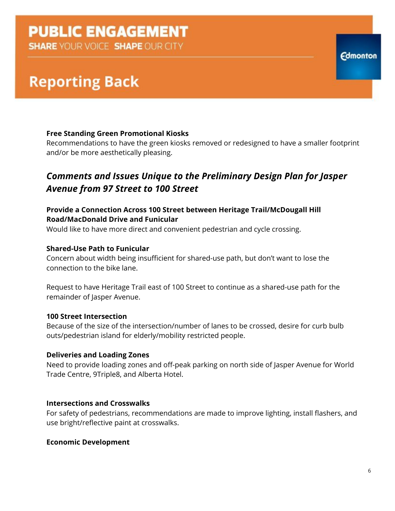**SHARE YOUR VOICE SHAPE OUR CITY** 

# **Reporting Back**

#### **Free Standing Green Promotional Kiosks**

Recommendations to have the green kiosks removed or redesigned to have a smaller footprint and/or be more aesthetically pleasing.

### *Comments and Issues Unique to the Preliminary Design Plan for Jasper Avenue from 97 Street to 100 Street*

#### **Provide a Connection Across 100 Street between Heritage Trail/McDougall Hill Road/MacDonald Drive and Funicular**

Would like to have more direct and convenient pedestrian and cycle crossing.

#### **Shared-Use Path to Funicular**

Concern about width being insufficient for shared-use path, but don't want to lose the connection to the bike lane.

Request to have Heritage Trail east of 100 Street to continue as a shared-use path for the remainder of Jasper Avenue.

#### **100 Street Intersection**

Because of the size of the intersection/number of lanes to be crossed, desire for curb bulb outs/pedestrian island for elderly/mobility restricted people.

#### **Deliveries and Loading Zones**

Need to provide loading zones and off-peak parking on north side of Jasper Avenue for World Trade Centre, 9Triple8, and Alberta Hotel.

#### **Intersections and Crosswalks**

For safety of pedestrians, recommendations are made to improve lighting, install flashers, and use bright/reflective paint at crosswalks.

#### **Economic Development**